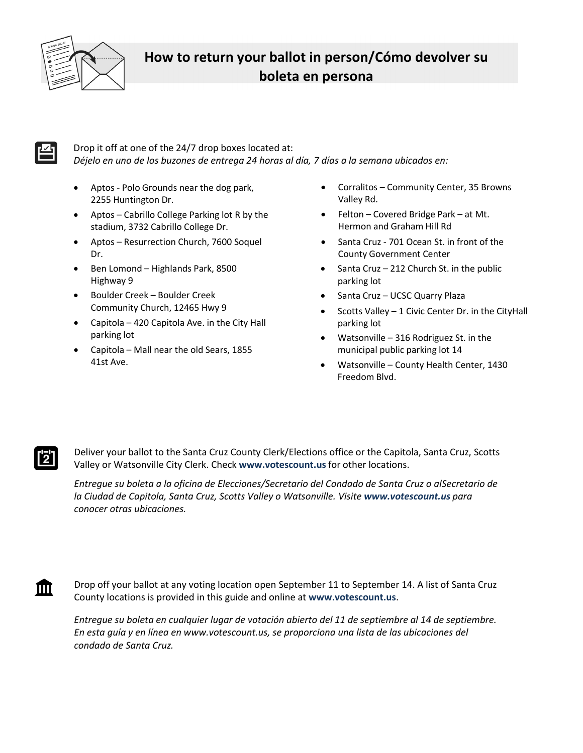

## **How to return your ballot in person/Cómo devolver su boleta en persona**

m

Drop it off at one of the 24/7 drop boxes located at: *Déjelo en uno de los buzones de entrega 24 horas al día, 7 días a la semana ubicados en:*

- Aptos Polo Grounds near the dog park, 2255 Huntington Dr.
- Aptos Cabrillo College Parking lot R by the stadium, 3732 Cabrillo College Dr.
- Aptos Resurrection Church, 7600 Soquel Dr.
- Ben Lomond Highlands Park, 8500 Highway 9
- Boulder Creek Boulder Creek Community Church, 12465 Hwy 9
- Capitola 420 Capitola Ave. in the City Hall parking lot
- Capitola Mall near the old Sears, 1855 41st Ave.
- Corralitos Community Center, 35 Browns Valley Rd.
- Felton Covered Bridge Park at Mt. Hermon and Graham Hill Rd
- Santa Cruz 701 Ocean St. in front of the County Government Center
- Santa Cruz 212 Church St. in the public parking lot
- Santa Cruz UCSC Quarry Plaza
- Scotts Valley 1 Civic Center Dr. in the CityHall parking lot
- Watsonville 316 Rodriguez St. in the municipal public parking lot 14
- Watsonville County Health Center, 1430 Freedom Blvd.

Deliver your ballot to the Santa Cruz County Clerk/Elections office or the Capitola, Santa Cruz, Scotts [2] Valley or Watsonville City Clerk. Check **[www.votescount.us](http://www.votescount.us/)**for other locations.

*Entregue su boleta a la oficina de Elecciones/Secretario del Condado de Santa Cruz o alSecretario de la Ciudad de Capitola, Santa Cruz, Scotts Valley o Watsonville. Visite [www.votescount.us](http://www.votescount.us/) para conocer otras ubicaciones.*

Drop off your ballot at any voting location open September 11 to September 14. A list of Santa Cruz County locations is provided in this guide and online at **[www.votescount.us](http://www.votescount.us/)**.

*Entregue su boleta en cualquier lugar de votación abierto del 11 de septiembre al 14 de septiembre. En esta guía y en línea en [www.votescount.us, s](http://www.votescount.us/)e proporciona una lista de las ubicaciones del condado de Santa Cruz.*